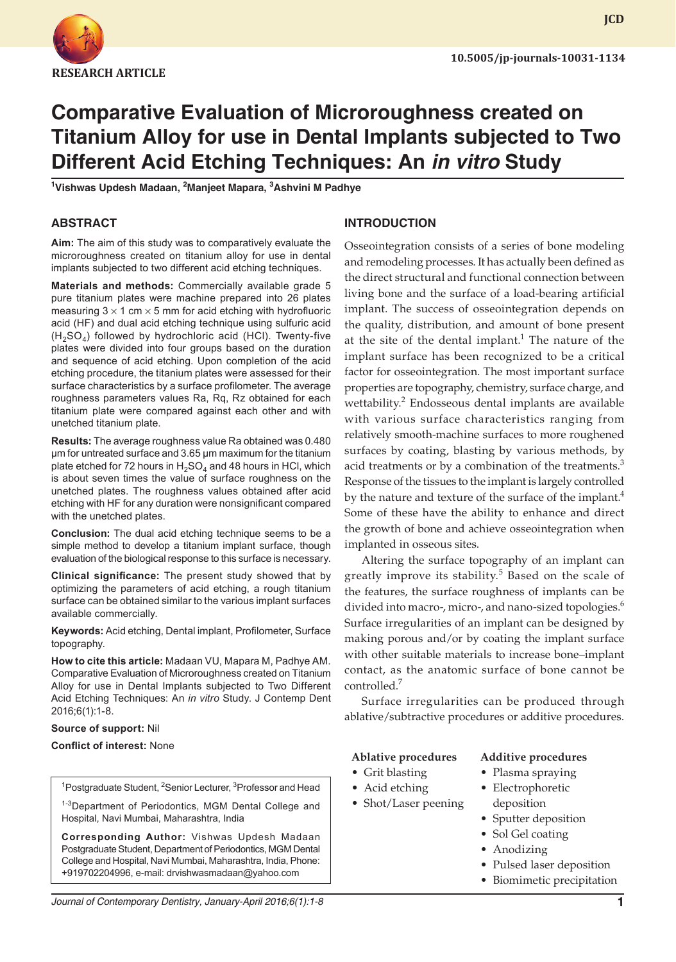

# **Comparative Evaluation of Microroughness created on Titanium Alloy for use in Dental Implants subjected to Two Different Acid Etching Techniques: An in vitro Study**

**1 Vishwas Updesh Madaan, 2 Manjeet Mapara, <sup>3</sup> Ashvini M Padhye**

## **ABSTRACT**

**Aim:** The aim of this study was to comparatively evaluate the microroughness created on titanium alloy for use in dental implants subjected to two different acid etching techniques.

**Materials and methods:** Commercially available grade 5 pure titanium plates were machine prepared into 26 plates measuring  $3 \times 1$  cm  $\times$  5 mm for acid etching with hydrofluoric acid (HF) and dual acid etching technique using sulfuric acid  $(H<sub>2</sub>SO<sub>4</sub>)$  followed by hydrochloric acid (HCl). Twenty-five plates were divided into four groups based on the duration and sequence of acid etching. Upon completion of the acid etching procedure, the titanium plates were assessed for their surface characteristics by a surface profilometer. The average roughness parameters values Ra, Rq, Rz obtained for each titanium plate were compared against each other and with unetched titanium plate.

**Results:** The average roughness value Ra obtained was 0.480 µm for untreated surface and 3.65 µm maximum for the titanium plate etched for 72 hours in  $H_2SO_4$  and 48 hours in HCl, which is about seven times the value of surface roughness on the unetched plates. The roughness values obtained after acid etching with HF for any duration were nonsignificant compared with the unetched plates.

**Conclusion:** The dual acid etching technique seems to be a simple method to develop a titanium implant surface, though evaluation of the biological response to this surface is necessary.

**Clinical significance:** The present study showed that by optimizing the parameters of acid etching, a rough titanium surface can be obtained similar to the various implant surfaces available commercially.

**Keywords:** Acid etching, Dental implant, Profilometer, Surface topography.

**How to cite this article:** Madaan VU, Mapara M, Padhye AM. Comparative Evaluation of Microroughness created on Titanium Alloy for use in Dental Implants subjected to Two Different Acid Etching Techniques: An *in vitro* Study. J Contemp Dent 2016;6(1):1-8.

#### **Source of support:** Nil

#### **Conflict of interest:** None

<sup>1</sup>Postgraduate Student, <sup>2</sup>Senior Lecturer, <sup>3</sup>Professor and Head

<sup>1-3</sup>Department of Periodontics, MGM Dental College and Hospital, Navi Mumbai, Maharashtra, India

**Corresponding Author:** Vishwas Updesh Madaan Postgraduate Student, Department of Periodontics, MGM Dental College and Hospital, Navi Mumbai, Maharashtra, India, Phone: +919702204996, e-mail: drvishwasmadaan@yahoo.com

## **INTRODUCTION**

Osseointegration consists of a series of bone modeling and remodeling processes. It has actually been defined as the direct structural and functional connection between living bone and the surface of a load-bearing artificial implant. The success of osseointegration depends on the quality, distribution, and amount of bone present at the site of the dental implant.<sup>1</sup> The nature of the implant surface has been recognized to be a critical factor for osseointegration. The most important surface properties are topography, chemistry, surface charge, and wettability.<sup>2</sup> Endosseous dental implants are available with various surface characteristics ranging from relatively smooth-machine surfaces to more roughened surfaces by coating, blasting by various methods, by acid treatments or by a combination of the treatments. $3$ Response of the tissues to the implant is largely controlled by the nature and texture of the surface of the implant. $4$ Some of these have the ability to enhance and direct the growth of bone and achieve osseointegration when implanted in osseous sites.

Altering the surface topography of an implant can greatly improve its stability.<sup>5</sup> Based on the scale of the features, the surface roughness of implants can be divided into macro-, micro-, and nano-sized topologies.<sup>6</sup> Surface irregularities of an implant can be designed by making porous and/or by coating the implant surface with other suitable materials to increase bone–implant contact, as the anatomic surface of bone cannot be controlled.7

Surface irregularities can be produced through ablative/subtractive procedures or additive procedures.

#### **Ablative procedures Additive procedures**

#### • Grit blasting

- Acid etching
- Shot/Laser peening
- Sputter deposition

• Plasma spraying • Electrophoretic deposition

- Sol Gel coating
- Anodizing
- Pulsed laser deposition
- Biomimetic precipitation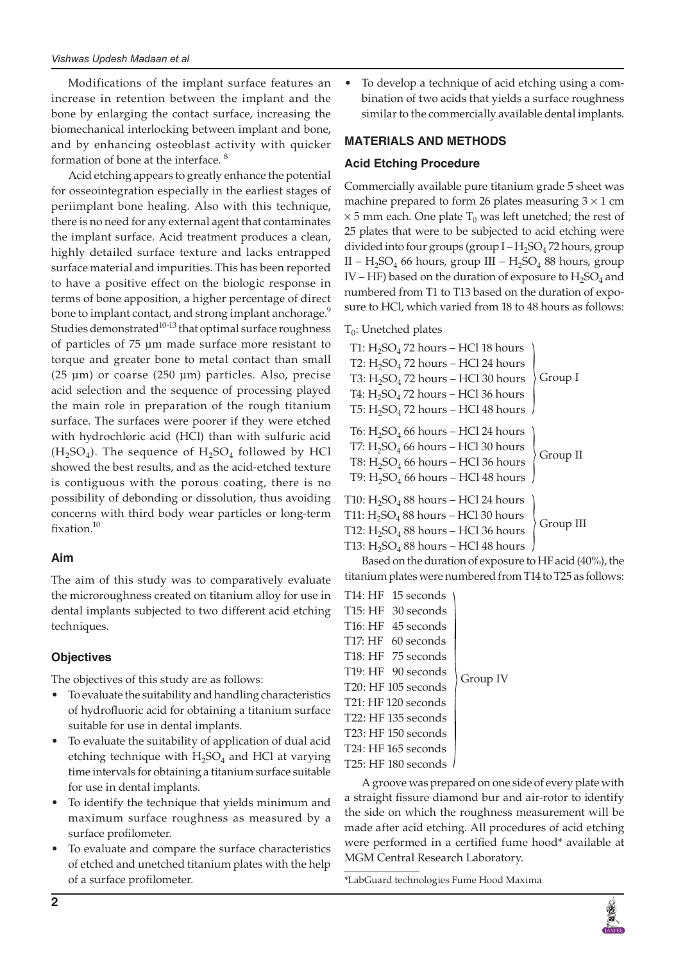Modifications of the implant surface features an increase in retention between the implant and the bone by enlarging the contact surface, increasing the biomechanical interlocking between implant and bone, and by enhancing osteoblast activity with quicker formation of bone at the interface. <sup>8</sup>

Acid etching appears to greatly enhance the potential for osseointegration especially in the earliest stages of periimplant bone healing. Also with this technique, there is no need for any external agent that contaminates the implant surface. Acid treatment produces a clean, highly detailed surface texture and lacks entrapped surface material and impurities. This has been reported to have a positive effect on the biologic response in terms of bone apposition, a higher percentage of direct bone to implant contact, and strong implant anchorage.<sup>9</sup> Studies demonstrated $10^{-13}$  that optimal surface roughness of particles of 75 µm made surface more resistant to torque and greater bone to metal contact than small (25 µm) or coarse (250 µm) particles. Also, precise acid selection and the sequence of processing played the main role in preparation of the rough titanium surface. The surfaces were poorer if they were etched with hydrochloric acid (HCl) than with sulfuric acid  $(H<sub>2</sub>SO<sub>4</sub>)$ . The sequence of  $H<sub>2</sub>SO<sub>4</sub>$  followed by HCl showed the best results, and as the acid-etched texture is contiguous with the porous coating, there is no possibility of debonding or dissolution, thus avoiding concerns with third body wear particles or long-term fixation.<sup>10</sup>

# **Aim**

The aim of this study was to comparatively evaluate the microroughness created on titanium alloy for use in dental implants subjected to two different acid etching techniques.

# **Objectives**

The objectives of this study are as follows:

- To evaluate the suitability and handling characteristics of hydrofluoric acid for obtaining a titanium surface suitable for use in dental implants.
- To evaluate the suitability of application of dual acid etching technique with  $H_2SO_4$  and HCl at varying time intervals for obtaining a titanium surface suitable for use in dental implants.
- To identify the technique that yields minimum and maximum surface roughness as measured by a surface profilometer.
- To evaluate and compare the surface characteristics of etched and unetched titanium plates with the help of a surface profilometer.

To develop a technique of acid etching using a combination of two acids that yields a surface roughness similar to the commercially available dental implants.

# **MATERIALS AND METHODS**

# **Acid Etching Procedure**

Commercially available pure titanium grade 5 sheet was machine prepared to form 26 plates measuring  $3 \times 1$  cm  $\times$  5 mm each. One plate T<sub>0</sub> was left unetched; the rest of 25 plates that were to be subjected to acid etching were divided into four groups (group  $I - H_2$ SO<sub>4</sub>72 hours, group II –  $H_2SO_4$  66 hours, group III –  $H_2SO_4$  88 hours, group IV – HF) based on the duration of exposure to  $H_2SO_4$  and numbered from T1 to T13 based on the duration of exposure to HCl, which varied from 18 to 48 hours as follows:

 $T_0$ : Unetched plates

T1:  $\rm H_2SO_4$  72 hours – HCl 18 hours T2:  $H_2SO_4$  72 hours – HCl 24 hours T3:  $H_2SO_4$  72 hours – HCl 30 hours T4:  $H_2SO_4$  72 hours – HCl 36 hours T5:  $H_2SO_4$  72 hours – HCl 48 hours T6:  $H_2SO_4$  66 hours – HCl 24 hours T7:  $H_2SO_4$  66 hours – HCl 30 hours T8:  $H_2SO_4$  66 hours – HCl 36 hours T9:  $H_2SO_4$  66 hours – HCl 48 hours T10:  $H_2SO_4$  88 hours – HCl 24 hours T11:  $H_2SO_4$  88 hours – HCl 30 hours T12:  $H_2SO_4$  88 hours – HCl 36 hours T13:  $H_2SO_4$  88 hours – HCl 48 hours Group I Group II Group III

Based on the duration of exposure to HF acid (40%), the titanium plates were numbered from T14 to T25 as follows:

T14: HF 15 seconds T15: HF 30 seconds T16: HF 45 seconds T17: HF 60 seconds T18: HF 75 seconds T19: HF 90 seconds T20: HF 105 seconds T21: HF 120 seconds T22: HF 135 seconds T23: HF 150 seconds T24: HF 165 seconds T25: HF 180 seconds Group IV

A groove was prepared on one side of every plate with a straight fissure diamond bur and air-rotor to identify the side on which the roughness measurement will be made after acid etching. All procedures of acid etching were performed in a certified fume hood\* available at MGM Central Research Laboratory.

\*LabGuard technologies Fume Hood Maxima

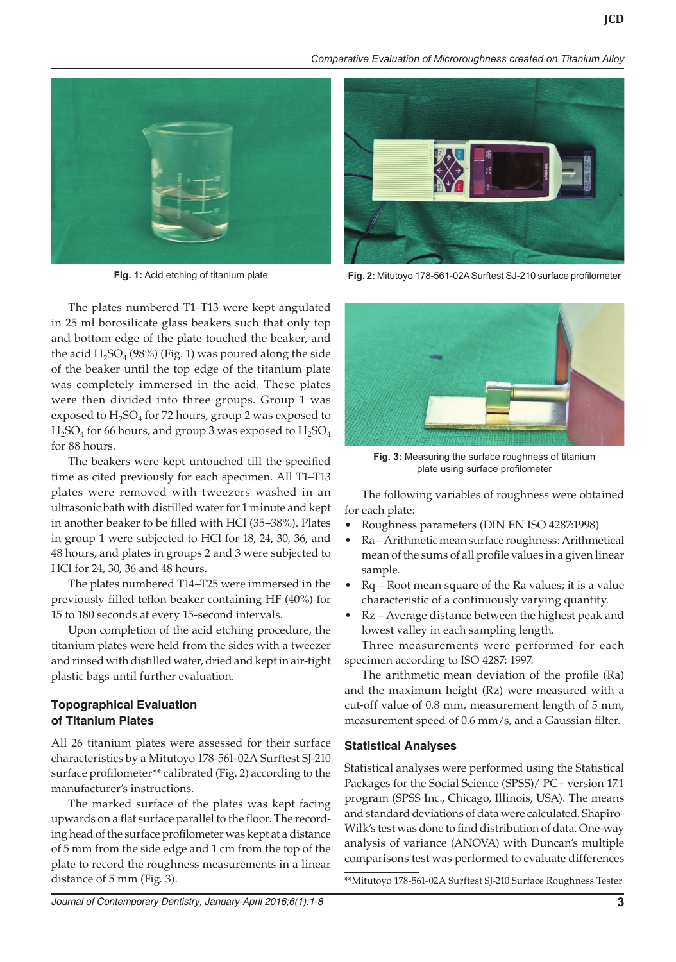



The plates numbered T1–T13 were kept angulated in 25 ml borosilicate glass beakers such that only top and bottom edge of the plate touched the beaker, and the acid  $H_2SO_4$  (98%) (Fig. 1) was poured along the side of the beaker until the top edge of the titanium plate was completely immersed in the acid. These plates were then divided into three groups. Group 1 was exposed to  $H_2SO_4$  for 72 hours, group 2 was exposed to  $H<sub>2</sub>SO<sub>4</sub>$  for 66 hours, and group 3 was exposed to  $H<sub>2</sub>SO<sub>4</sub>$ for 88 hours.

The beakers were kept untouched till the specified time as cited previously for each specimen. All T1–T13 plates were removed with tweezers washed in an ultrasonic bath with distilled water for 1 minute and kept in another beaker to be filled with HCl (35–38%). Plates in group 1 were subjected to HCl for 18, 24, 30, 36, and 48 hours, and plates in groups 2 and 3 were subjected to HCl for 24, 30, 36 and 48 hours.

The plates numbered T14–T25 were immersed in the previously filled teflon beaker containing HF (40%) for 15 to 180 seconds at every 15-second intervals.

Upon completion of the acid etching procedure, the titanium plates were held from the sides with a tweezer and rinsed with distilled water, dried and kept in air-tight plastic bags until further evaluation.

## **Topographical Evaluation of Titanium Plates**

All 26 titanium plates were assessed for their surface characteristics by a Mitutoyo 178-561-02A Surftest SJ-210 surface profilometer\*\* calibrated (Fig. 2) according to the manufacturer's instructions.

The marked surface of the plates was kept facing upwards on a flat surface parallel to the floor. The recording head of the surface profilometer was kept at a distance of 5 mm from the side edge and 1 cm from the top of the plate to record the roughness measurements in a linear distance of 5 mm (Fig. 3).



**Fig. 1:** Acid etching of titanium plate **Fig. 2:** Mitutoyo 178-561-02A Surftest SJ-210 surface profilometer



**Fig. 3:** Measuring the surface roughness of titanium plate using surface profilometer

The following variables of roughness were obtained for each plate:

- Roughness parameters (DIN EN ISO 4287:1998)
- Ra Arithmetic mean surface roughness: Arithmetical mean of the sums of all profile values in a given linear sample.
- Rq Root mean square of the Ra values; it is a value characteristic of a continuously varying quantity.
- Rz Average distance between the highest peak and lowest valley in each sampling length.

Three measurements were performed for each specimen according to ISO 4287: 1997.

The arithmetic mean deviation of the profile (Ra) and the maximum height (Rz) were measured with a cut-off value of 0.8 mm, measurement length of 5 mm, measurement speed of 0.6 mm/s, and a Gaussian filter.

## **Statistical Analyses**

Statistical analyses were performed using the Statistical Packages for the Social Science (SPSS)/ PC+ version 17.1 program (SPSS Inc., Chicago, Illinois, USA). The means and standard deviations of data were calculated. Shapiro-Wilk's test was done to find distribution of data. One-way analysis of variance (ANOVA) with Duncan's multiple comparisons test was performed to evaluate differences

\*\*Mitutoyo 178-561-02A Surftest SJ-210 Surface Roughness Tester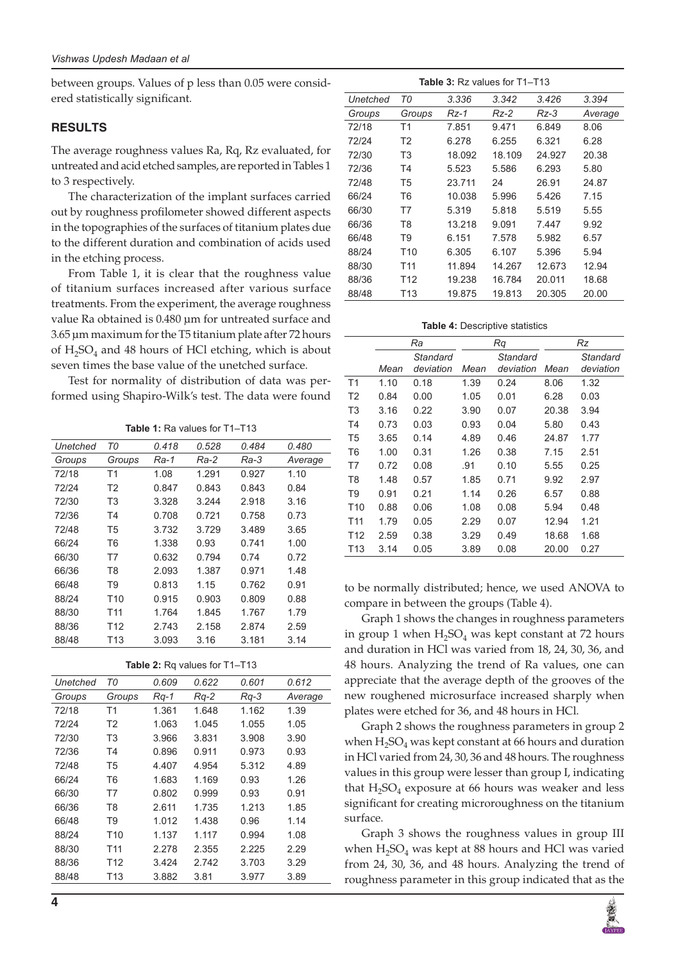between groups. Values of p less than 0.05 were considered statistically significant.

# **RESULTS**

The average roughness values Ra, Rq, Rz evaluated, for untreated and acid etched samples, are reported in Tables 1 to 3 respectively.

The characterization of the implant surfaces carried out by roughness profilometer showed different aspects in the topographies of the surfaces of titanium plates due to the different duration and combination of acids used in the etching process.

From Table 1, it is clear that the roughness value of titanium surfaces increased after various surface treatments. From the experiment, the average roughness value Ra obtained is 0.480 µm for untreated surface and 3.65 µm maximum for the T5 titanium plate after 72 hours of  $H_2SO_4$  and 48 hours of HCl etching, which is about seven times the base value of the unetched surface.

Test for normality of distribution of data was performed using Shapiro-Wilk's test. The data were found

**Table 1:** Ra values for T1–T13

| Unetched | T0             | 0.418 | 0.528 | 0.484 | 0.480   |
|----------|----------------|-------|-------|-------|---------|
| Groups   | Groups         | Ra-1  | Ra-2  | Ra-3  | Average |
| 72/18    | T1             | 1.08  | 1.291 | 0.927 | 1.10    |
| 72/24    | T2             | 0.847 | 0.843 | 0.843 | 0.84    |
| 72/30    | T <sub>3</sub> | 3.328 | 3.244 | 2.918 | 3.16    |
| 72/36    | T4             | 0.708 | 0.721 | 0.758 | 0.73    |
| 72/48    | T5             | 3.732 | 3.729 | 3.489 | 3.65    |
| 66/24    | T6             | 1.338 | 0.93  | 0.741 | 1.00    |
| 66/30    | T7             | 0.632 | 0.794 | 0.74  | 0.72    |
| 66/36    | T8             | 2.093 | 1.387 | 0.971 | 1.48    |
| 66/48    | T9             | 0.813 | 1.15  | 0.762 | 0.91    |
| 88/24    | T10            | 0.915 | 0.903 | 0.809 | 0.88    |
| 88/30    | T11            | 1.764 | 1.845 | 1.767 | 1.79    |
| 88/36    | T12            | 2.743 | 2.158 | 2.874 | 2.59    |
| 88/48    | T13            | 3.093 | 3.16  | 3.181 | 3.14    |

| Table 2: Rq values for T1-T13 |  |  |  |  |  |
|-------------------------------|--|--|--|--|--|
|-------------------------------|--|--|--|--|--|

| Unetched | T0              | 0.609  | 0.622  | 0.601  | 0.612   |
|----------|-----------------|--------|--------|--------|---------|
| Groups   | Groups          | $Rq-1$ | $Rq-2$ | $Rq-3$ | Average |
| 72/18    | Τ1              | 1.361  | 1.648  | 1.162  | 1.39    |
| 72/24    | T <sub>2</sub>  | 1.063  | 1.045  | 1.055  | 1.05    |
| 72/30    | T3              | 3.966  | 3.831  | 3.908  | 3.90    |
| 72/36    | T4              | 0.896  | 0.911  | 0.973  | 0.93    |
| 72/48    | T5              | 4.407  | 4.954  | 5.312  | 4.89    |
| 66/24    | T6              | 1.683  | 1.169  | 0.93   | 1.26    |
| 66/30    | T7              | 0.802  | 0.999  | 0.93   | 0.91    |
| 66/36    | T8              | 2.611  | 1.735  | 1.213  | 1.85    |
| 66/48    | T <sub>9</sub>  | 1.012  | 1.438  | 0.96   | 1.14    |
| 88/24    | T <sub>10</sub> | 1.137  | 1.117  | 0.994  | 1.08    |
| 88/30    | T <sub>11</sub> | 2.278  | 2.355  | 2.225  | 2.29    |
| 88/36    | T12             | 3.424  | 2.742  | 3.703  | 3.29    |
| 88/48    | T <sub>13</sub> | 3.882  | 3.81   | 3.977  | 3.89    |
|          |                 |        |        |        |         |

| <b>Table 3:</b> Rz values for T1–T13 |                 |        |        |        |         |  |
|--------------------------------------|-----------------|--------|--------|--------|---------|--|
| Unetched                             | ТO              | 3.336  | 3.342  | 3.426  | 3.394   |  |
| Groups                               | Groups          | $Rz-1$ | Rz-2   | Rz-3   | Average |  |
| 72/18                                | T1              | 7.851  | 9.471  | 6.849  | 8.06    |  |
| 72/24                                | T <sub>2</sub>  | 6.278  | 6.255  | 6.321  | 6.28    |  |
| 72/30                                | T <sub>3</sub>  | 18.092 | 18.109 | 24.927 | 20.38   |  |
| 72/36                                | Τ4              | 5.523  | 5.586  | 6.293  | 5.80    |  |
| 72/48                                | T5              | 23.711 | 24     | 26.91  | 24.87   |  |
| 66/24                                | T6              | 10.038 | 5.996  | 5.426  | 7.15    |  |
| 66/30                                | T7              | 5.319  | 5.818  | 5.519  | 5.55    |  |
| 66/36                                | T8              | 13.218 | 9.091  | 7.447  | 9.92    |  |
| 66/48                                | T9              | 6.151  | 7.578  | 5.982  | 6.57    |  |
| 88/24                                | T <sub>10</sub> | 6.305  | 6.107  | 5.396  | 5.94    |  |
| 88/30                                | T <sub>11</sub> | 11.894 | 14.267 | 12.673 | 12.94   |  |
| 88/36                                | T12             | 19.238 | 16.784 | 20.011 | 18.68   |  |
| 88/48                                | T <sub>13</sub> | 19.875 | 19.813 | 20.305 | 20.00   |  |

**Table 4:** Descriptive statistics

|                 | Ra   |           | Rq   |           | Rz    |           |
|-----------------|------|-----------|------|-----------|-------|-----------|
|                 |      | Standard  |      | Standard  |       | Standard  |
|                 | Mean | deviation | Mean | deviation | Mean  | deviation |
| T <sub>1</sub>  | 1.10 | 0.18      | 1.39 | 0.24      | 8.06  | 1.32      |
| T <sub>2</sub>  | 0.84 | 0.00      | 1.05 | 0.01      | 6.28  | 0.03      |
| T <sub>3</sub>  | 3.16 | 0.22      | 3.90 | 0.07      | 20.38 | 3.94      |
| T4              | 0.73 | 0.03      | 0.93 | 0.04      | 5.80  | 0.43      |
| T <sub>5</sub>  | 3.65 | 0.14      | 4.89 | 0.46      | 24.87 | 1.77      |
| T6              | 1.00 | 0.31      | 1.26 | 0.38      | 7.15  | 2.51      |
| T7              | 0.72 | 0.08      | .91  | 0.10      | 5.55  | 0.25      |
| T <sub>8</sub>  | 1.48 | 0.57      | 1.85 | 0.71      | 9.92  | 2.97      |
| T <sub>9</sub>  | 0.91 | 0.21      | 1.14 | 0.26      | 6.57  | 0.88      |
| T <sub>10</sub> | 0.88 | 0.06      | 1.08 | 0.08      | 5.94  | 0.48      |
| T <sub>11</sub> | 1.79 | 0.05      | 2.29 | 0.07      | 12.94 | 1.21      |
| T <sub>12</sub> | 2.59 | 0.38      | 3.29 | 0.49      | 18.68 | 1.68      |
| T <sub>13</sub> | 3.14 | 0.05      | 3.89 | 0.08      | 20.00 | 0.27      |

to be normally distributed; hence, we used ANOVA to compare in between the groups (Table 4).

Graph 1 shows the changes in roughness parameters in group 1 when  $H_2SO_4$  was kept constant at 72 hours and duration in HCl was varied from 18, 24, 30, 36, and 48 hours. Analyzing the trend of Ra values, one can appreciate that the average depth of the grooves of the new roughened microsurface increased sharply when plates were etched for 36, and 48 hours in HCl.

Graph 2 shows the roughness parameters in group 2 when  $H_2SO_4$  was kept constant at 66 hours and duration in HCl varied from 24, 30, 36 and 48 hours. The roughness values in this group were lesser than group I, indicating that  $H_2SO_4$  exposure at 66 hours was weaker and less significant for creating microroughness on the titanium surface.

Graph 3 shows the roughness values in group III when  $H_2SO_4$  was kept at 88 hours and HCl was varied from 24, 30, 36, and 48 hours. Analyzing the trend of roughness parameter in this group indicated that as the

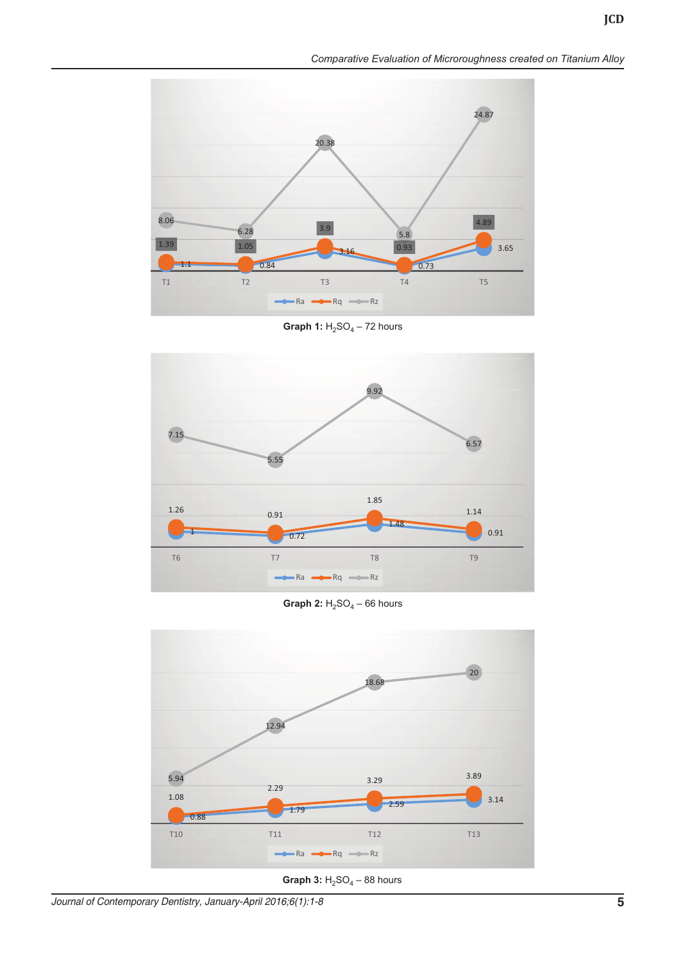



**Graph 1:**  $H_2SO_4 - 72$  hours



**Graph 2:**  $H_2SO_4 - 66$  hours



**Graph 3:**  $H_2SO_4 - 88$  hours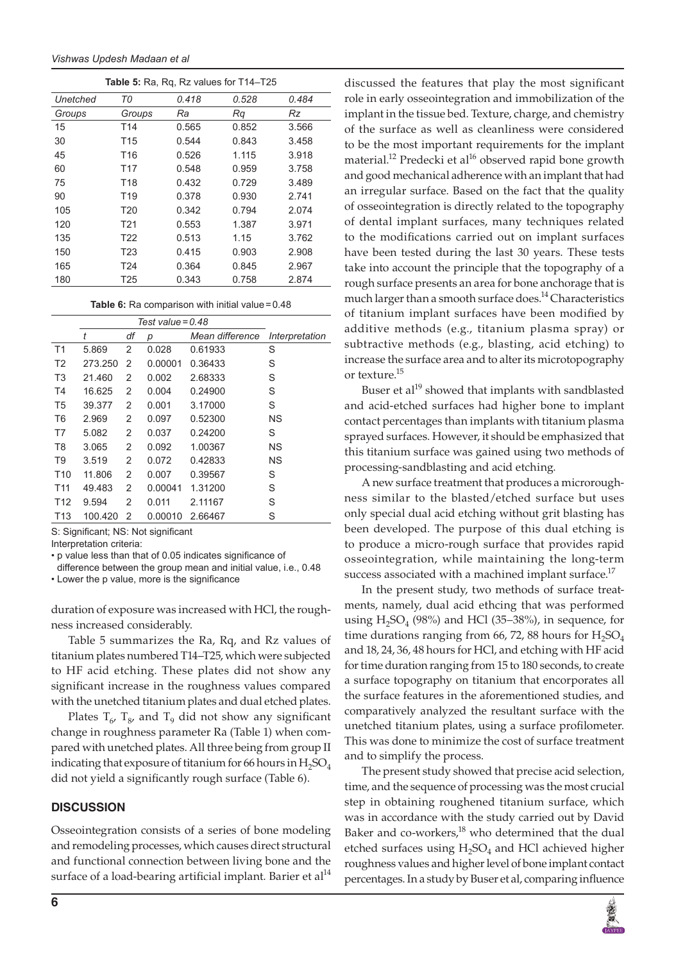|          | Table 5: Ra, Rq, Rz values for T14-T25 |       |       |       |  |  |
|----------|----------------------------------------|-------|-------|-------|--|--|
| Unetched | ТO                                     | 0.418 | 0.528 | 0.484 |  |  |
| Groups   | Groups                                 | Ra    | Ra    | Rz    |  |  |
| 15       | T <sub>14</sub>                        | 0.565 | 0.852 | 3.566 |  |  |
| 30       | T <sub>15</sub>                        | 0.544 | 0.843 | 3.458 |  |  |
| 45       | T <sub>16</sub>                        | 0.526 | 1.115 | 3.918 |  |  |
| 60       | T <sub>17</sub>                        | 0.548 | 0.959 | 3.758 |  |  |
| 75       | T <sub>18</sub>                        | 0.432 | 0.729 | 3.489 |  |  |
| 90       | T <sub>19</sub>                        | 0.378 | 0.930 | 2.741 |  |  |
| 105      | <b>T20</b>                             | 0.342 | 0.794 | 2.074 |  |  |
| 120      | T <sub>21</sub>                        | 0.553 | 1.387 | 3.971 |  |  |
| 135      | T <sub>22</sub>                        | 0.513 | 1.15  | 3.762 |  |  |
| 150      | T <sub>23</sub>                        | 0.415 | 0.903 | 2.908 |  |  |
| 165      | T <sub>24</sub>                        | 0.364 | 0.845 | 2.967 |  |  |
| 180      | T <sub>25</sub>                        | 0.343 | 0.758 | 2.874 |  |  |

**Table 6:** Ra comparison with initial value=0.48

|                 | Test value = $0.48$ |    |         |                 |                |
|-----------------|---------------------|----|---------|-----------------|----------------|
|                 | t                   | df | р       | Mean difference | Interpretation |
| T <sub>1</sub>  | 5.869               | 2  | 0.028   | 0.61933         | S              |
| T <sub>2</sub>  | 273.250             | 2  | 0.00001 | 0.36433         | S              |
| T <sub>3</sub>  | 21.460              | 2  | 0.002   | 2.68333         | S              |
| T <sub>4</sub>  | 16.625              | 2  | 0.004   | 0.24900         | S              |
| T5              | 39.377              | 2  | 0.001   | 3.17000         | S              |
| T <sub>6</sub>  | 2.969               | 2  | 0.097   | 0.52300         | <b>NS</b>      |
| T7              | 5.082               | 2  | 0.037   | 0.24200         | S              |
| T <sub>8</sub>  | 3.065               | 2  | 0.092   | 1.00367         | <b>NS</b>      |
| T9              | 3.519               | 2  | 0.072   | 0.42833         | ΝS             |
| T <sub>10</sub> | 11.806              | 2  | 0.007   | 0.39567         | S              |
| T <sub>11</sub> | 49.483              | 2  | 0.00041 | 1.31200         | S              |
| T12             | 9.594               | 2  | 0.011   | 2.11167         | S              |
| T <sub>13</sub> | 100.420             | 2  | 0.00010 | 2.66467         | S              |

S: Significant; NS: Not significant

Interpretation criteria:

• p value less than that of 0.05 indicates significance of difference between the group mean and initial value, i.e., 0.48

• Lower the p value, more is the significance

duration of exposure was increased with HCl, the roughness increased considerably.

Table 5 summarizes the Ra, Rq, and Rz values of titanium plates numbered T14–T25, which were subjected to HF acid etching. These plates did not show any significant increase in the roughness values compared with the unetched titanium plates and dual etched plates.

Plates  $T_{6}$ ,  $T_{8}$ , and  $T_{9}$  did not show any significant change in roughness parameter Ra (Table 1) when compared with unetched plates. All three being from group II indicating that exposure of titanium for 66 hours in  $H_2SO_4$ did not yield a significantly rough surface (Table 6).

# **DISCUSSION**

Osseointegration consists of a series of bone modeling and remodeling processes, which causes direct structural and functional connection between living bone and the surface of a load-bearing artificial implant. Barier et  $al<sup>14</sup>$ 

discussed the features that play the most significant role in early osseointegration and immobilization of the implant in the tissue bed. Texture, charge, and chemistry of the surface as well as cleanliness were considered to be the most important requirements for the implant material.<sup>12</sup> Predecki et al<sup>16</sup> observed rapid bone growth and good mechanical adherence with an implant that had an irregular surface. Based on the fact that the quality of osseointegration is directly related to the topography of dental implant surfaces, many techniques related to the modifications carried out on implant surfaces have been tested during the last 30 years. These tests take into account the principle that the topography of a rough surface presents an area for bone anchorage that is much larger than a smooth surface does.<sup>14</sup> Characteristics of titanium implant surfaces have been modified by additive methods (e.g., titanium plasma spray) or subtractive methods (e.g., blasting, acid etching) to increase the surface area and to alter its microtopography or texture.15

Buser et al<sup>19</sup> showed that implants with sandblasted and acid-etched surfaces had higher bone to implant contact percentages than implants with titanium plasma sprayed surfaces. However, it should be emphasized that this titanium surface was gained using two methods of processing-sandblasting and acid etching.

A new surface treatment that produces a microroughness similar to the blasted/etched surface but uses only special dual acid etching without grit blasting has been developed. The purpose of this dual etching is to produce a micro-rough surface that provides rapid osseointegration, while maintaining the long-term success associated with a machined implant surface.<sup>17</sup>

In the present study, two methods of surface treatments, namely, dual acid ethcing that was performed using  $H_2SO_4$  (98%) and HCl (35–38%), in sequence, for time durations ranging from 66, 72, 88 hours for  $H_2SO_4$ and 18, 24, 36, 48 hours for HCl, and etching with HF acid for time duration ranging from 15 to 180 seconds, to create a surface topography on titanium that encorporates all the surface features in the aforementioned studies, and comparatively analyzed the resultant surface with the unetched titanium plates, using a surface profilometer. This was done to minimize the cost of surface treatment and to simplify the process.

The present study showed that precise acid selection, time, and the sequence of processing was the most crucial step in obtaining roughened titanium surface, which was in accordance with the study carried out by David Baker and co-workers, $^{18}$  who determined that the dual etched surfaces using  $H_2SO_4$  and HCl achieved higher roughness values and higher level of bone implant contact percentages. In a study by Buser et al, comparing influence

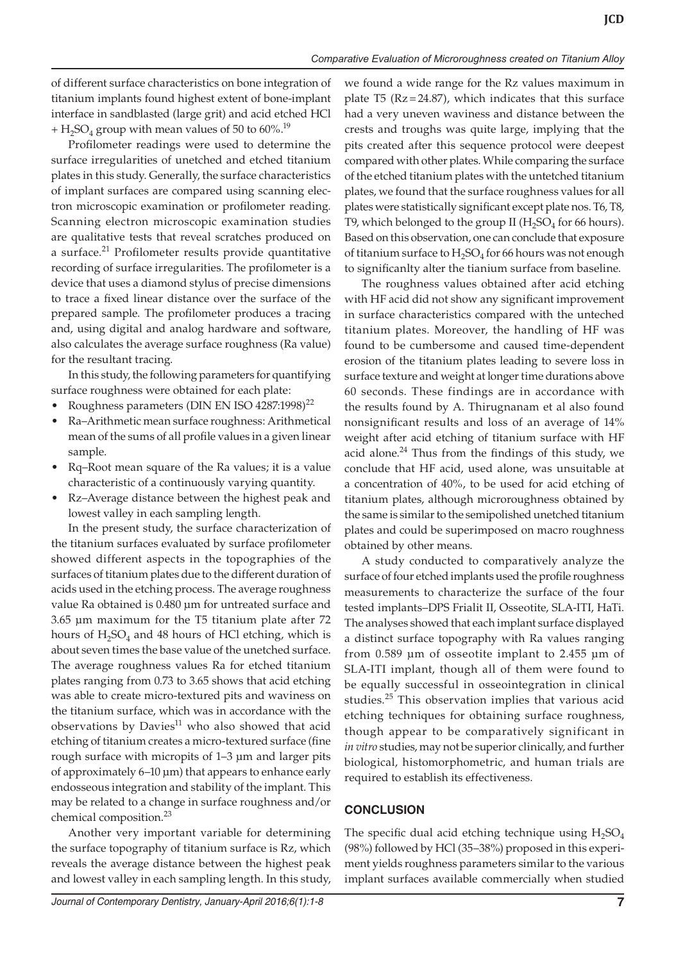of different surface characteristics on bone integration of titanium implants found highest extent of bone-implant interface in sandblasted (large grit) and acid etched HCl + H<sub>2</sub>SO<sub>4</sub> group with mean values of 50 to  $60\%$ <sup>19</sup>

Profilometer readings were used to determine the surface irregularities of unetched and etched titanium plates in this study. Generally, the surface characteristics of implant surfaces are compared using scanning electron microscopic examination or profilometer reading. Scanning electron microscopic examination studies are qualitative tests that reveal scratches produced on a surface.<sup>21</sup> Profilometer results provide quantitative recording of surface irregularities. The profilometer is a device that uses a diamond stylus of precise dimensions to trace a fixed linear distance over the surface of the prepared sample. The profilometer produces a tracing and, using digital and analog hardware and software, also calculates the average surface roughness (Ra value) for the resultant tracing.

In this study, the following parameters for quantifying surface roughness were obtained for each plate:

- Roughness parameters (DIN EN ISO 4287:1998)<sup>22</sup>
- Ra–Arithmetic mean surface roughness: Arithmetical mean of the sums of all profile values in a given linear sample.
- Rq–Root mean square of the Ra values; it is a value characteristic of a continuously varying quantity.
- Rz–Average distance between the highest peak and lowest valley in each sampling length.

In the present study, the surface characterization of the titanium surfaces evaluated by surface profilometer showed different aspects in the topographies of the surfaces of titanium plates due to the different duration of acids used in the etching process. The average roughness value Ra obtained is 0.480 µm for untreated surface and 3.65 µm maximum for the T5 titanium plate after 72 hours of  $H_2SO_4$  and 48 hours of HCl etching, which is about seven times the base value of the unetched surface. The average roughness values Ra for etched titanium plates ranging from 0.73 to 3.65 shows that acid etching was able to create micro-textured pits and waviness on the titanium surface, which was in accordance with the observations by Davies $11$  who also showed that acid etching of titanium creates a micro-textured surface (fine rough surface with micropits of 1–3 µm and larger pits of approximately 6–10 µm) that appears to enhance early endosseous integration and stability of the implant. This may be related to a change in surface roughness and/or chemical composition.<sup>23</sup>

Another very important variable for determining the surface topography of titanium surface is Rz, which reveals the average distance between the highest peak and lowest valley in each sampling length. In this study,

we found a wide range for the Rz values maximum in plate T5 ( $Rz = 24.87$ ), which indicates that this surface had a very uneven waviness and distance between the crests and troughs was quite large, implying that the pits created after this sequence protocol were deepest compared with other plates. While comparing the surface of the etched titanium plates with the untetched titanium plates, we found that the surface roughness values for all plates were statistically significant except plate nos. T6, T8, T9, which belonged to the group II  $(H<sub>2</sub>SO<sub>4</sub>$  for 66 hours). Based on this observation, one can conclude that exposure of titanium surface to  $H_2SO_4$  for 66 hours was not enough to significanlty alter the tianium surface from baseline.

The roughness values obtained after acid etching with HF acid did not show any significant improvement in surface characteristics compared with the unteched titanium plates. Moreover, the handling of HF was found to be cumbersome and caused time-dependent erosion of the titanium plates leading to severe loss in surface texture and weight at longer time durations above 60 seconds. These findings are in accordance with the results found by A. Thirugnanam et al also found nonsignificant results and loss of an average of 14% weight after acid etching of titanium surface with HF acid alone. $^{24}$  Thus from the findings of this study, we conclude that HF acid, used alone, was unsuitable at a concentration of 40%, to be used for acid etching of titanium plates, although microroughness obtained by the same is similar to the semipolished unetched titanium plates and could be superimposed on macro roughness obtained by other means.

A study conducted to comparatively analyze the surface of four etched implants used the profile roughness measurements to characterize the surface of the four tested implants–DPS Frialit II, Osseotite, SLA-ITI, HaTi. The analyses showed that each implant surface displayed a distinct surface topography with Ra values ranging from 0.589 µm of osseotite implant to 2.455 µm of SLA-ITI implant, though all of them were found to be equally successful in osseointegration in clinical studies.<sup>25</sup> This observation implies that various acid etching techniques for obtaining surface roughness, though appear to be comparatively significant in *in vitro* studies, may not be superior clinically, and further biological, histomorphometric, and human trials are required to establish its effectiveness.

## **CONCLUSION**

The specific dual acid etching technique using  $H_2SO_4$ (98%) followed by HCl (35–38%) proposed in this experiment yields roughness parameters similar to the various implant surfaces available commercially when studied